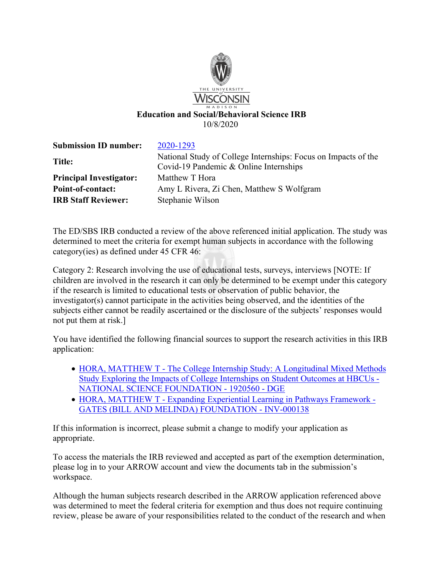

| <b>Submission ID number:</b>   | 2020-1293                                                                                                |
|--------------------------------|----------------------------------------------------------------------------------------------------------|
| <b>Title:</b>                  | National Study of College Internships: Focus on Impacts of the<br>Covid-19 Pandemic & Online Internships |
| <b>Principal Investigator:</b> | Matthew T Hora                                                                                           |
| Point-of-contact:              | Amy L Rivera, Zi Chen, Matthew S Wolfgram                                                                |
| <b>IRB Staff Reviewer:</b>     | Stephanie Wilson                                                                                         |

The ED/SBS IRB conducted a review of the above referenced initial application. The study was determined to meet the criteria for exempt human subjects in accordance with the following category(ies) as defined under 45 CFR 46:

Category 2: Research involving the use of educational tests, surveys, interviews [NOTE: If children are involved in the research it can only be determined to be exempt under this category if the research is limited to educational tests or observation of public behavior, the investigator(s) cannot participate in the activities being observed, and the identities of the subjects either cannot be readily ascertained or the disclosure of the subjects' responses would not put them at risk.]

You have identified the following financial sources to support the research activities in this IRB application:

- HORA, MATTHEW T The College Internship Study: A Longitudinal Mixed Methods [Study Exploring the Impacts of College Internships on Student Outcomes at HBCUs -](https://portal.sfs.wisconsin.edu/psp/sfs_2/EMPLOYEE/ERP/c/UW_WP_WISPER.UW_WP_DOC_MAINT.GBL?Page=UW_WP_DOC_GENERAL&Action=U&ExactKeys=Y&BUSINESS_UNIT=UWMSN&UW_WP_DOCUMENT_ID=MSN226207&TargetFrameName=None)  [NATIONAL SCIENCE FOUNDATION - 1920560 - DGE](https://portal.sfs.wisconsin.edu/psp/sfs_2/EMPLOYEE/ERP/c/UW_WP_WISPER.UW_WP_DOC_MAINT.GBL?Page=UW_WP_DOC_GENERAL&Action=U&ExactKeys=Y&BUSINESS_UNIT=UWMSN&UW_WP_DOCUMENT_ID=MSN226207&TargetFrameName=None)
- [HORA, MATTHEW T Expanding Experiential Learning in Pathways Framework](https://portal.sfs.wisconsin.edu/psp/sfs_2/EMPLOYEE/ERP/c/UW_WP_WISPER.UW_WP_DOC_MAINT.GBL?Page=UW_WP_DOC_GENERAL&Action=U&ExactKeys=Y&BUSINESS_UNIT=UWMSN&UW_WP_DOCUMENT_ID=MSN229387&TargetFrameName=None)  [GATES \(BILL AND MELINDA\) FOUNDATION - INV-000138](https://portal.sfs.wisconsin.edu/psp/sfs_2/EMPLOYEE/ERP/c/UW_WP_WISPER.UW_WP_DOC_MAINT.GBL?Page=UW_WP_DOC_GENERAL&Action=U&ExactKeys=Y&BUSINESS_UNIT=UWMSN&UW_WP_DOCUMENT_ID=MSN229387&TargetFrameName=None)

If this information is incorrect, please submit a change to modify your application as appropriate.

To access the materials the IRB reviewed and accepted as part of the exemption determination, please log in to your ARROW account and view the documents tab in the submission's workspace.

Although the human subjects research described in the ARROW application referenced above was determined to meet the federal criteria for exemption and thus does not require continuing review, please be aware of your responsibilities related to the conduct of the research and when